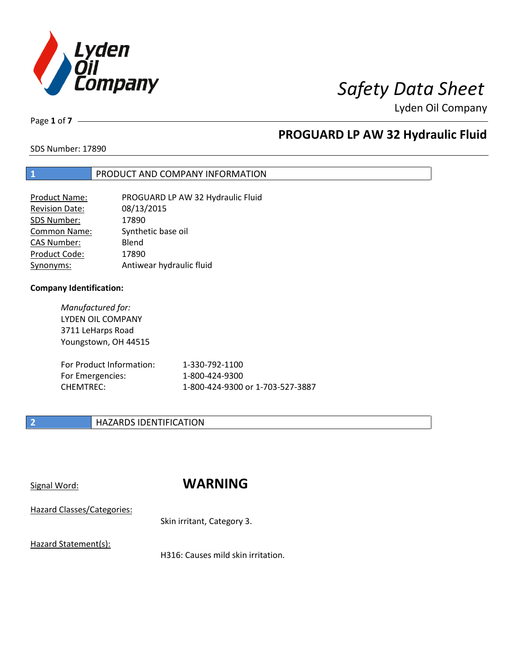

Lyden Oil Company

Page **1** of **7**

# **PROGUARD LP AW 32 Hydraulic Fluid**

SDS Number: 17890

### **1** PRODUCT AND COMPANY INFORMATION

| <b>Product Name:</b> | PROGUARD LP AW 32 Hydraulic Fluid |
|----------------------|-----------------------------------|
| Revision Date:       | 08/13/2015                        |
| SDS Number:          | 17890                             |
| <b>Common Name:</b>  | Synthetic base oil                |
| <b>CAS Number:</b>   | Blend                             |
| Product Code:        | 17890                             |
| Synonyms:            | Antiwear hydraulic fluid          |

### **Company Identification:**

*Manufactured for:* LYDEN OIL COMPANY 3711 LeHarps Road Youngstown, OH 44515

| For Product Information: | 1-330-792-1100                   |
|--------------------------|----------------------------------|
| For Emergencies:         | 1-800-424-9300                   |
| CHEMTREC:                | 1-800-424-9300 or 1-703-527-3887 |

### **2 HAZARDS IDENTIFICATION**

## Signal Word: **WARNING**

Hazard Classes/Categories:

Skin irritant, Category 3.

Hazard Statement(s):

H316: Causes mild skin irritation.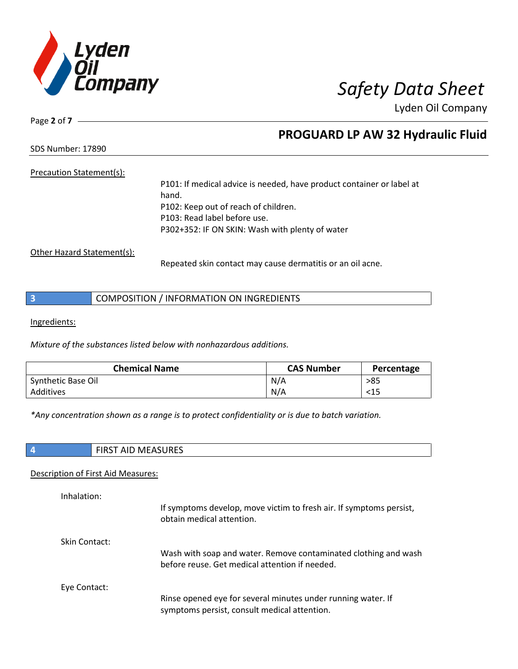

Lyden Oil Company

Page **2** of **7**

## **PROGUARD LP AW 32 Hydraulic Fluid**

SDS Number: 17890

### Precaution Statement(s):

P101: If medical advice is needed, have product container or label at hand. P102: Keep out of reach of children. P103: Read label before use. P302+352: IF ON SKIN: Wash with plenty of water

Other Hazard Statement(s):

Repeated skin contact may cause dermatitis or an oil acne.

|  | COMPOSITION / INFORMATION ON INGREDIENTS |
|--|------------------------------------------|
|--|------------------------------------------|

Ingredients:

*Mixture of the substances listed below with nonhazardous additions.*

| <b>Chemical Name</b> | <b>CAS Number</b> | Percentage |
|----------------------|-------------------|------------|
| Synthetic Base Oil   | N/A               | >85        |
| Additives            | N/A               | <15        |

*\*Any concentration shown as a range is to protect confidentiality or is due to batch variation.*

| ا - | <b>NAFACIIDEC</b><br>MEASURES<br>AIL.<br>כחו־ |
|-----|-----------------------------------------------|

### Description of First Aid Measures:

| Inhalation:   |                                                                                                                   |
|---------------|-------------------------------------------------------------------------------------------------------------------|
|               | If symptoms develop, move victim to fresh air. If symptoms persist,<br>obtain medical attention.                  |
| Skin Contact: |                                                                                                                   |
|               | Wash with soap and water. Remove contaminated clothing and wash<br>before reuse. Get medical attention if needed. |
| Eye Contact:  |                                                                                                                   |
|               | Rinse opened eye for several minutes under running water. If                                                      |
|               | symptoms persist, consult medical attention.                                                                      |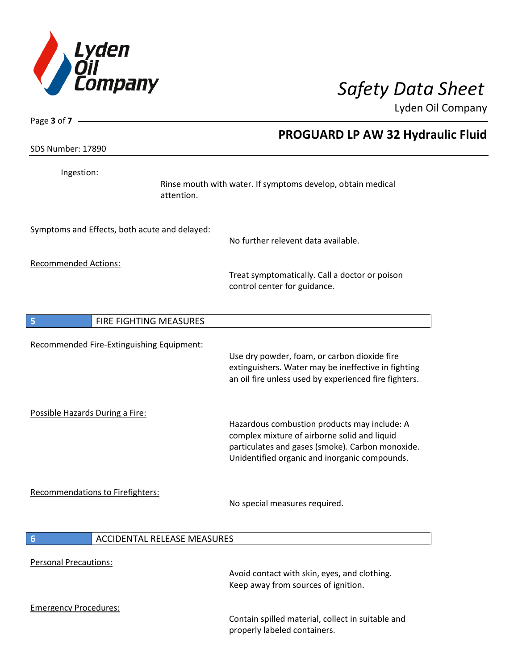

 $\overline{\phantom{a}}$ 

Lyden Oil Company

| Page 3 of $7 -$                               |                                                                                                                                                                                                   |
|-----------------------------------------------|---------------------------------------------------------------------------------------------------------------------------------------------------------------------------------------------------|
|                                               | PROGUARD LP AW 32 Hydraulic Fluid                                                                                                                                                                 |
| SDS Number: 17890                             |                                                                                                                                                                                                   |
| Ingestion:                                    |                                                                                                                                                                                                   |
|                                               | Rinse mouth with water. If symptoms develop, obtain medical<br>attention.                                                                                                                         |
| Symptoms and Effects, both acute and delayed: | No further relevent data available.                                                                                                                                                               |
| <b>Recommended Actions:</b>                   | Treat symptomatically. Call a doctor or poison<br>control center for guidance.                                                                                                                    |
| FIRE FIGHTING MEASURES<br>5                   |                                                                                                                                                                                                   |
| Recommended Fire-Extinguishing Equipment:     | Use dry powder, foam, or carbon dioxide fire<br>extinguishers. Water may be ineffective in fighting<br>an oil fire unless used by experienced fire fighters.                                      |
| Possible Hazards During a Fire:               | Hazardous combustion products may include: A<br>complex mixture of airborne solid and liquid<br>particulates and gases (smoke). Carbon monoxide.<br>Unidentified organic and inorganic compounds. |
| <b>Recommendations to Firefighters:</b>       | No special measures required.                                                                                                                                                                     |
| 6                                             | <b>ACCIDENTAL RELEASE MEASURES</b>                                                                                                                                                                |
| <b>Personal Precautions:</b>                  |                                                                                                                                                                                                   |
|                                               | Avoid contact with skin, eyes, and clothing.<br>Keep away from sources of ignition.                                                                                                               |
| <b>Emergency Procedures:</b>                  |                                                                                                                                                                                                   |
|                                               | Contain spilled material, collect in suitable and<br>properly labeled containers.                                                                                                                 |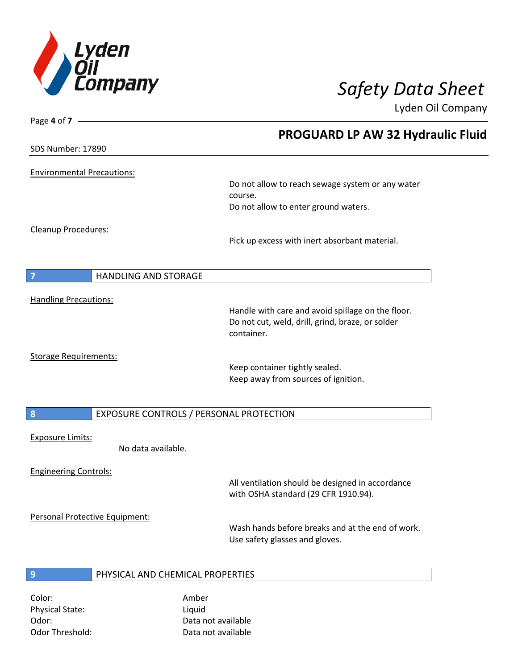

Page **4** of **7**

Lyden Oil Company

|                                   |                                         | <b>PROGUARD LP AW 32 Hydraulic Fluid</b>                                                 |
|-----------------------------------|-----------------------------------------|------------------------------------------------------------------------------------------|
| <b>SDS Number: 17890</b>          |                                         |                                                                                          |
|                                   |                                         |                                                                                          |
| <b>Environmental Precautions:</b> |                                         | Do not allow to reach sewage system or any water                                         |
|                                   |                                         | course.                                                                                  |
|                                   |                                         | Do not allow to enter ground waters.                                                     |
| <b>Cleanup Procedures:</b>        |                                         |                                                                                          |
|                                   |                                         | Pick up excess with inert absorbant material.                                            |
|                                   |                                         |                                                                                          |
| $\overline{7}$                    | <b>HANDLING AND STORAGE</b>             |                                                                                          |
|                                   |                                         |                                                                                          |
| <b>Handling Precautions:</b>      |                                         | Handle with care and avoid spillage on the floor.                                        |
|                                   |                                         | Do not cut, weld, drill, grind, braze, or solder                                         |
|                                   |                                         | container.                                                                               |
| <b>Storage Requirements:</b>      |                                         |                                                                                          |
|                                   |                                         | Keep container tightly sealed.                                                           |
|                                   |                                         | Keep away from sources of ignition.                                                      |
|                                   |                                         |                                                                                          |
| 8                                 | EXPOSURE CONTROLS / PERSONAL PROTECTION |                                                                                          |
|                                   |                                         |                                                                                          |
| <b>Exposure Limits:</b>           | No data available.                      |                                                                                          |
|                                   |                                         |                                                                                          |
| <b>Engineering Controls:</b>      |                                         |                                                                                          |
|                                   |                                         | All ventilation should be designed in accordance<br>with OSHA standard (29 CFR 1910.94). |
| Personal Protective Equipment:    |                                         |                                                                                          |
|                                   |                                         | Wash hands before breaks and at the end of work.                                         |
|                                   |                                         | Use safety glasses and gloves.                                                           |
|                                   |                                         |                                                                                          |
| 9                                 | PHYSICAL AND CHEMICAL PROPERTIES        |                                                                                          |

Color: Amber Physical State: Liquid

Odor: Data not available Odor Threshold: Data not available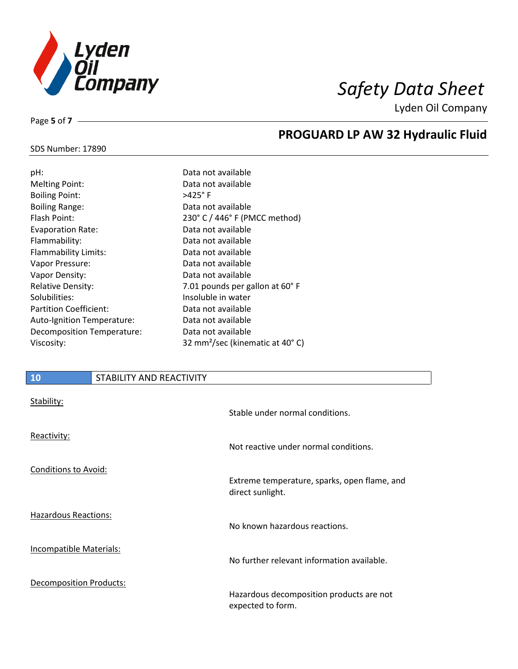

**PROGUARD LP AW 32 Hydraulic Fluid**

Lyden Oil Company

### SDS Number: 17890

Page **5** of **7**

| pH:                        | Data not available                          |
|----------------------------|---------------------------------------------|
| <b>Melting Point:</b>      | Data not available                          |
| <b>Boiling Point:</b>      | $>425^\circ$ F                              |
| <b>Boiling Range:</b>      | Data not available                          |
| Flash Point:               | 230° C / 446° F (PMCC method)               |
| <b>Evaporation Rate:</b>   | Data not available                          |
| Flammability:              | Data not available                          |
| Flammability Limits:       | Data not available                          |
| Vapor Pressure:            | Data not available                          |
| Vapor Density:             | Data not available                          |
| <b>Relative Density:</b>   | 7.01 pounds per gallon at 60°F              |
| Solubilities:              | Insoluble in water                          |
| Partition Coefficient:     | Data not available                          |
| Auto-Ignition Temperature: | Data not available                          |
| Decomposition Temperature: | Data not available                          |
| Viscosity:                 | 32 mm <sup>2</sup> /sec (kinematic at 40°C) |
|                            |                                             |

# **10** STABILITY AND REACTIVITY Stability: Stable under normal conditions. Reactivity: Not reactive under normal conditions. Conditions to Avoid: Extreme temperature, sparks, open flame, and direct sunlight. Hazardous Reactions: No known hazardous reactions. Incompatible Materials: No further relevant information available. Decomposition Products: Hazardous decomposition products are not expected to form.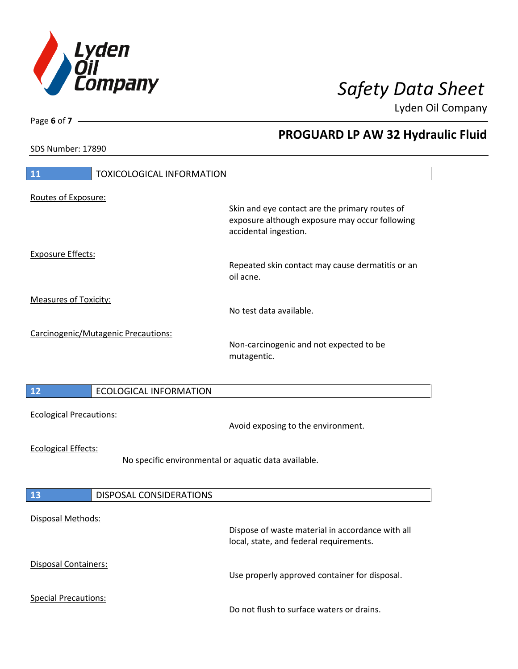

**PROGUARD LP AW 32 Hydraulic Fluid**

Lyden Oil Company

SDS Number: 17890

# **11** TOXICOLOGICAL INFORMATION Routes of Exposure: Skin and eye contact are the primary routes of exposure although exposure may occur following accidental ingestion. Exposure Effects: Repeated skin contact may cause dermatitis or an oil acne. Measures of Toxicity: No test data available. Carcinogenic/Mutagenic Precautions: Non-carcinogenic and not expected to be mutagentic. **12** ECOLOGICAL INFORMATION Ecological Precautions: Avoid exposing to the environment. Ecological Effects: No specific environmental or aquatic data available. **13** DISPOSAL CONSIDERATIONS Disposal Methods: Dispose of waste material in accordance with all local, state, and federal requirements. Disposal Containers: Use properly approved container for disposal. Special Precautions: Do not flush to surface waters or drains.

Page **6** of **7**